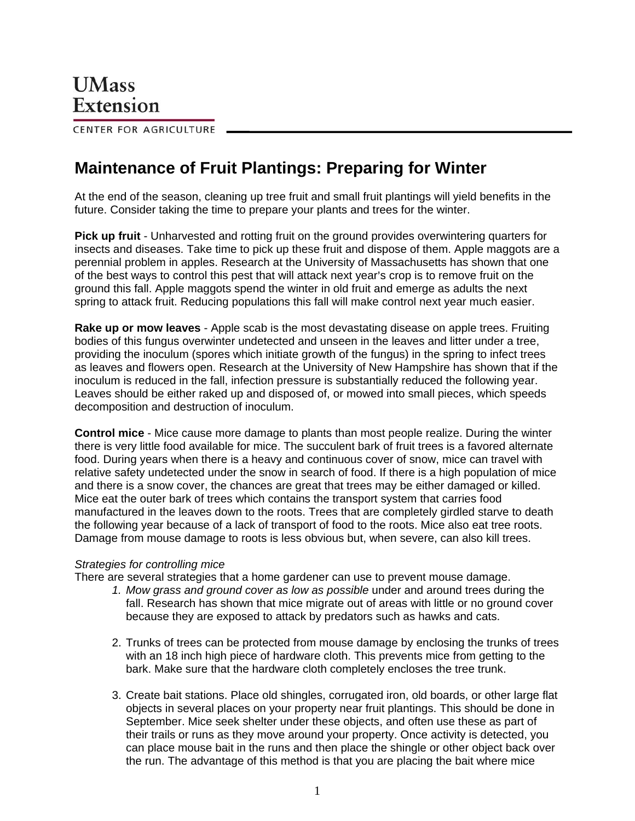CENTER FOR AGRICULTURE

## **Maintenance of Fruit Plantings: Preparing for Winter**

At the end of the season, cleaning up tree fruit and small fruit plantings will yield benefits in the future. Consider taking the time to prepare your plants and trees for the winter.

**Pick up fruit** - Unharvested and rotting fruit on the ground provides overwintering quarters for insects and diseases. Take time to pick up these fruit and dispose of them. Apple maggots are a perennial problem in apples. Research at the University of Massachusetts has shown that one of the best ways to control this pest that will attack next year's crop is to remove fruit on the ground this fall. Apple maggots spend the winter in old fruit and emerge as adults the next spring to attack fruit. Reducing populations this fall will make control next year much easier.

**Rake up or mow leaves** - Apple scab is the most devastating disease on apple trees. Fruiting bodies of this fungus overwinter undetected and unseen in the leaves and litter under a tree, providing the inoculum (spores which initiate growth of the fungus) in the spring to infect trees as leaves and flowers open. Research at the University of New Hampshire has shown that if the inoculum is reduced in the fall, infection pressure is substantially reduced the following year. Leaves should be either raked up and disposed of, or mowed into small pieces, which speeds decomposition and destruction of inoculum.

**Control mice** - Mice cause more damage to plants than most people realize. During the winter there is very little food available for mice. The succulent bark of fruit trees is a favored alternate food. During years when there is a heavy and continuous cover of snow, mice can travel with relative safety undetected under the snow in search of food. If there is a high population of mice and there is a snow cover, the chances are great that trees may be either damaged or killed. Mice eat the outer bark of trees which contains the transport system that carries food manufactured in the leaves down to the roots. Trees that are completely girdled starve to death the following year because of a lack of transport of food to the roots. Mice also eat tree roots. Damage from mouse damage to roots is less obvious but, when severe, can also kill trees.

## *Strategies for controlling mice*

There are several strategies that a home gardener can use to prevent mouse damage.

- *1. Mow grass and ground cover as low as possible* under and around trees during the fall. Research has shown that mice migrate out of areas with little or no ground cover because they are exposed to attack by predators such as hawks and cats.
- 2. Trunks of trees can be protected from mouse damage by enclosing the trunks of trees with an 18 inch high piece of hardware cloth. This prevents mice from getting to the bark. Make sure that the hardware cloth completely encloses the tree trunk.
- 3. Create bait stations. Place old shingles, corrugated iron, old boards, or other large flat objects in several places on your property near fruit plantings. This should be done in September. Mice seek shelter under these objects, and often use these as part of their trails or runs as they move around your property. Once activity is detected, you can place mouse bait in the runs and then place the shingle or other object back over the run. The advantage of this method is that you are placing the bait where mice